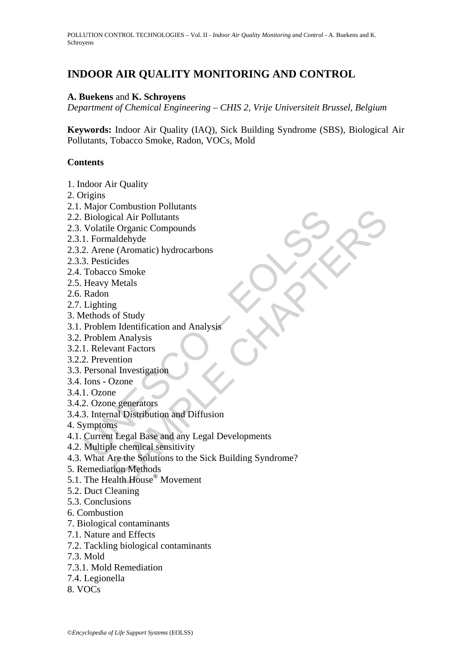# **INDOOR AIR QUALITY MONITORING AND CONTROL**

#### **A. Buekens** and **K. Schroyens**

*Department of Chemical Engineering – CHIS 2, Vrije Universiteit Brussel, Belgium* 

**Keywords:** Indoor Air Quality (IAQ), Sick Building Syndrome (SBS), Biological Air Pollutants, Tobacco Smoke, Radon, VOCs, Mold

#### **Contents**

- 1. Indoor Air Quality
- 2. Origins
- 2.1. Major Combustion Pollutants
- 2.2. Biological Air Pollutants
- 2.3. Volatile Organic Compounds
- 2.3.1. Formaldehyde
- 2.3.2. Arene (Aromatic) hydrocarbons
- 2.3.3. Pesticides
- 2.4. Tobacco Smoke
- 2.5. Heavy Metals
- 2.6. Radon
- 2.7. Lighting
- 3. Methods of Study
- 3.1. Problem Identification and Analysis
- 3.2. Problem Analysis
- 3.2.1. Relevant Factors
- 3.2.2. Prevention
- 3.3. Personal Investigation
- 3.4. Ions Ozone
- 3.4.1. Ozone
- 3.4.2. Ozone generators
- 3.4.3. Internal Distribution and Diffusion
- 4. Symptoms
- Fight Contains and Richards and Richards and Richards and Richards (Scheme (Aromatic Political Compounds<br>
1. Formaldehyde<br>
2. Arene (Aromatic) hydrocarbons<br>
3. Pesticides<br>
Tobacco Smoke<br>
Heavy Metals<br>
Radon<br>
Lighting<br>
Ieth 4.1. Current Legal Base and any Legal Developments
- 4.2. Multiple chemical sensitivity
- Combassion<br>
Cicle Air Pollutants<br>
Le Organic Compounds<br>
andehyde<br>
cides<br>
co Smoke<br>
Metals<br>
and the Charactic) hydrocarbons<br>
cides<br>
co Smoke<br>
Metals<br>
my m Analysis<br>
vant Factors<br>
minion Methods<br>
Doxone<br>
e<br>
e generators<br>
Cox 4.3. What Are the Solutions to the Sick Building Syndrome?
- 5. Remediation Methods
- 5.1. The Health House® Movement
- 5.2. Duct Cleaning
- 5.3. Conclusions
- 6. Combustion
- 7. Biological contaminants
- 7.1. Nature and Effects
- 7.2. Tackling biological contaminants
- 7.3. Mold
- 7.3.1. Mold Remediation
- 7.4. Legionella
- 8. VOCs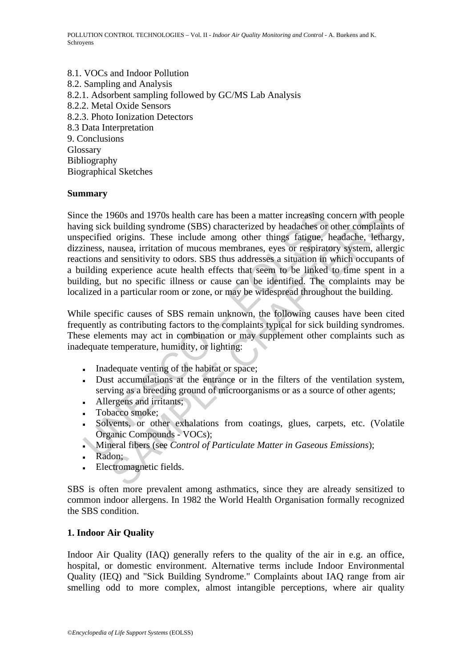8.1. VOCs and Indoor Pollution 8.2. Sampling and Analysis 8.2.1. Adsorbent sampling followed by GC/MS Lab Analysis 8.2.2. Metal Oxide Sensors 8.2.3. Photo Ionization Detectors 8.3 Data Interpretation 9. Conclusions Glossary Bibliography Biographical Sketches

### **Summary**

ice the 1960s and 1970s health care has been a matter increasing comparisor that the section of mucous membranes, eyes or respirate the miness, nausea, irritation of mucous membranes, eyes or respirate the miness, nausea, 960s and 1970s health care has been a matter increasing concern with perolularly or building syndrome (SBS) characterized by headaches or other complain origins. These include among other things fatigue, headache, letting Since the 1960s and 1970s health care has been a matter increasing concern with people having sick building syndrome (SBS) characterized by headaches or other complaints of unspecified origins. These include among other things fatigue, headache, lethargy, dizziness, nausea, irritation of mucous membranes, eyes or respiratory system, allergic reactions and sensitivity to odors. SBS thus addresses a situation in which occupants of a building experience acute health effects that seem to be linked to time spent in a building, but no specific illness or cause can be identified. The complaints may be localized in a particular room or zone, or may be widespread throughout the building.

While specific causes of SBS remain unknown, the following causes have been cited frequently as contributing factors to the complaints typical for sick building syndromes. These elements may act in combination or may supplement other complaints such as inadequate temperature, humidity, or lighting:

- Inadequate venting of the habitat or space;
- Dust accumulations at the entrance or in the filters of the ventilation system, serving as a breeding ground of microorganisms or as a source of other agents;
- **•** Allergens and irritants;
- **•** Tobacco smoke;
- Solvents, or other exhalations from coatings, glues, carpets, etc. (Volatile Organic Compounds - VOCs);
- Mineral fibers (see *Control of Particulate Matter in Gaseous Emissions*);
- **Radon**;
- **•** Electromagnetic fields.

SBS is often more prevalent among asthmatics, since they are already sensitized to common indoor allergens. In 1982 the World Health Organisation formally recognized the SBS condition.

#### **1. Indoor Air Quality**

Indoor Air Quality (IAQ) generally refers to the quality of the air in e.g. an office, hospital, or domestic environment. Alternative terms include Indoor Environmental Quality (IEQ) and "Sick Building Syndrome." Complaints about IAQ range from air smelling odd to more complex, almost intangible perceptions, where air quality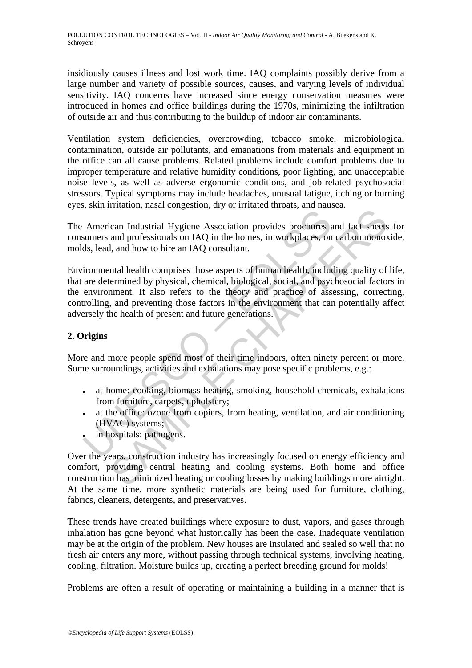insidiously causes illness and lost work time. IAQ complaints possibly derive from a large number and variety of possible sources, causes, and varying levels of individual sensitivity. IAQ concerns have increased since energy conservation measures were introduced in homes and office buildings during the 1970s, minimizing the infiltration of outside air and thus contributing to the buildup of indoor air contaminants.

Ventilation system deficiencies, overcrowding, tobacco smoke, microbiological contamination, outside air pollutants, and emanations from materials and equipment in the office can all cause problems. Related problems include comfort problems due to improper temperature and relative humidity conditions, poor lighting, and unacceptable noise levels, as well as adverse ergonomic conditions, and job-related psychosocial stressors. Typical symptoms may include headaches, unusual fatigue, itching or burning eyes, skin irritation, nasal congestion, dry or irritated throats, and nausea.

The American Industrial Hygiene Association provides brochures and fact sheets for consumers and professionals on IAQ in the homes, in workplaces, on carbon monoxide, molds, lead, and how to hire an IAQ consultant.

American Industrial Hygiene Association provides brochures a<br>
sumers and professionals on IAQ in the homes, in workplaces, on<br>
ds, lead, and how to hire an IAQ consultant.<br>
ironmental health comprises those aspects of huma Frame Transfer and professional Hyper and the homes, in workplaces, on carbon monox<br>and professionals on IAQ in the homes, in workplaces, on carbon monox<br>a, and how to hire an IAQ consultant.<br>That all health comprises thos Environmental health comprises those aspects of human health, including quality of life, that are determined by physical, chemical, biological, social, and psychosocial factors in the environment. It also refers to the theory and practice of assessing, correcting, controlling, and preventing those factors in the environment that can potentially affect adversely the health of present and future generations.

# **2. Origins**

More and more people spend most of their time indoors, often ninety percent or more. Some surroundings, activities and exhalations may pose specific problems, e.g.:

- at home: cooking, biomass heating, smoking, household chemicals, exhalations from furniture, carpets, upholstery;
- at the office: ozone from copiers, from heating, ventilation, and air conditioning (HVAC) systems;
- in hospitals: pathogens.

Over the years, construction industry has increasingly focused on energy efficiency and comfort, providing central heating and cooling systems. Both home and office construction has minimized heating or cooling losses by making buildings more airtight. At the same time, more synthetic materials are being used for furniture, clothing, fabrics, cleaners, detergents, and preservatives.

These trends have created buildings where exposure to dust, vapors, and gases through inhalation has gone beyond what historically has been the case. Inadequate ventilation may be at the origin of the problem. New houses are insulated and sealed so well that no fresh air enters any more, without passing through technical systems, involving heating, cooling, filtration. Moisture builds up, creating a perfect breeding ground for molds!

Problems are often a result of operating or maintaining a building in a manner that is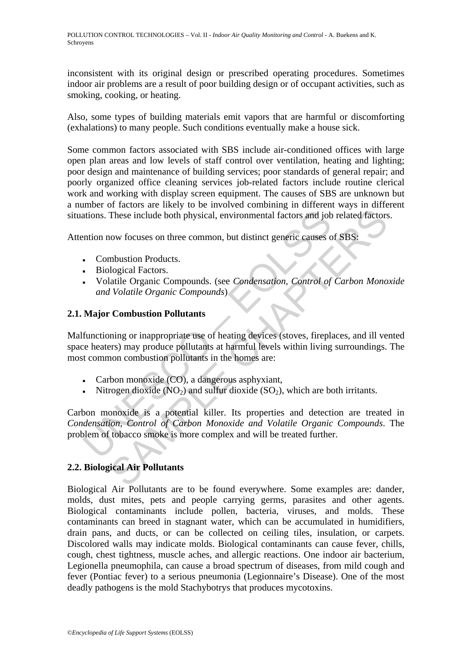inconsistent with its original design or prescribed operating procedures. Sometimes indoor air problems are a result of poor building design or of occupant activities, such as smoking, cooking, or heating.

Also, some types of building materials emit vapors that are harmful or discomforting (exhalations) to many people. Such conditions eventually make a house sick.

Some common factors associated with SBS include air-conditioned offices with large open plan areas and low levels of staff control over ventilation, heating and lighting; poor design and maintenance of building services; poor standards of general repair; and poorly organized office cleaning services job-related factors include routine clerical work and working with display screen equipment. The causes of SBS are unknown but a number of factors are likely to be involved combining in different ways in different situations. These include both physical, environmental factors and job related factors.

Attention now focuses on three common, but distinct generic causes of SBS:

- Combustion Products.
- **•** Biological Factors.
- Volatile Organic Compounds. (see *Condensation, Control of Carbon Monoxide and Volatile Organic Compounds*)

# **2.1. Major Combustion Pollutants**

Malfunctioning or inappropriate use of heating devices (stoves, fireplaces, and ill vented space heaters) may produce pollutants at harmful levels within living surroundings. The most common combustion pollutants in the homes are:

- Carbon monoxide (CO), a dangerous asphyxiant,
- Nitrogen dioxide ( $NO<sub>2</sub>$ ) and sulfur dioxide ( $SO<sub>2</sub>$ ), which are both irritants.

These include both physical, environmental factors and jotation now focuses on three common, but distinct generic causes on the combustion Products.<br>
• Combustion Products.<br>
• Biological Factors.<br>
• Volatile Organic Compou These include both physical, environmental factors and job related factors<br>These include both physical, environmental factors and job related factors<br>now focuses on three common, but distinct generic causes of SBS:<br>mbustio Carbon monoxide is a potential killer. Its properties and detection are treated in *Condensation, Control of Carbon Monoxide and Volatile Organic Compounds*. The problem of tobacco smoke is more complex and will be treated further.

# **2.2. Biological Air Pollutants**

Biological Air Pollutants are to be found everywhere. Some examples are: dander, molds, dust mites, pets and people carrying germs, parasites and other agents. Biological contaminants include pollen, bacteria, viruses, and molds. These contaminants can breed in stagnant water, which can be accumulated in humidifiers, drain pans, and ducts, or can be collected on ceiling tiles, insulation, or carpets. Discolored walls may indicate molds. Biological contaminants can cause fever, chills, cough, chest tightness, muscle aches, and allergic reactions. One indoor air bacterium, Legionella pneumophila, can cause a broad spectrum of diseases, from mild cough and fever (Pontiac fever) to a serious pneumonia (Legionnaire's Disease). One of the most deadly pathogens is the mold Stachybotrys that produces mycotoxins.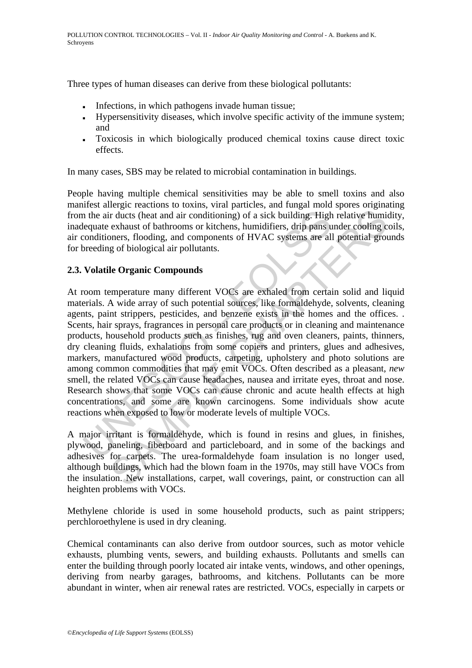Three types of human diseases can derive from these biological pollutants:

- Infections, in which pathogens invade human tissue;
- Hypersensitivity diseases, which involve specific activity of the immune system; and
- Toxicosis in which biologically produced chemical toxins cause direct toxic effects.

In many cases, SBS may be related to microbial contamination in buildings.

People having multiple chemical sensitivities may be able to smell toxins and also manifest allergic reactions to toxins, viral particles, and fungal mold spores originating from the air ducts (heat and air conditioning) of a sick building. High relative humidity, inadequate exhaust of bathrooms or kitchens, humidifiers, drip pans under cooling coils, air conditioners, flooding, and components of HVAC systems are all potential grounds for breeding of biological air pollutants.

# **2.3. Volatile Organic Compounds**

In the air ducts (heat and air conditioning) of a sick building. High<br>lequate exhaust of bathrooms or kitchens, humidifiers, drip pans u<br>conditioners, flooding, and components of HVAC systems are all<br>oreeding of biological r ducts (heat and air conditioning) of a sick building. High relative humine r ducts (heat and air conditioning) of a sick building. High relative humine exhaust of bathrooms or kitchens, humidifiers, drip pans under cooli At room temperature many different VOCs are exhaled from certain solid and liquid materials. A wide array of such potential sources, like formaldehyde, solvents, cleaning agents, paint strippers, pesticides, and benzene exists in the homes and the offices. . Scents, hair sprays, fragrances in personal care products or in cleaning and maintenance products, household products such as finishes, rug and oven cleaners, paints, thinners, dry cleaning fluids, exhalations from some copiers and printers, glues and adhesives, markers, manufactured wood products, carpeting, upholstery and photo solutions are among common commodities that may emit VOCs. Often described as a pleasant, *new* smell, the related VOCs can cause headaches, nausea and irritate eyes, throat and nose. Research shows that some VOCs can cause chronic and acute health effects at high concentrations, and some are known carcinogens. Some individuals show acute reactions when exposed to low or moderate levels of multiple VOCs.

A major irritant is formaldehyde, which is found in resins and glues, in finishes, plywood, paneling, fiberboard and particleboard, and in some of the backings and adhesives for carpets. The urea-formaldehyde foam insulation is no longer used, although buildings, which had the blown foam in the 1970s, may still have VOCs from the insulation. New installations, carpet, wall coverings, paint, or construction can all heighten problems with VOCs.

Methylene chloride is used in some household products, such as paint strippers; perchloroethylene is used in dry cleaning.

Chemical contaminants can also derive from outdoor sources, such as motor vehicle exhausts, plumbing vents, sewers, and building exhausts. Pollutants and smells can enter the building through poorly located air intake vents, windows, and other openings, deriving from nearby garages, bathrooms, and kitchens. Pollutants can be more abundant in winter, when air renewal rates are restricted. VOCs, especially in carpets or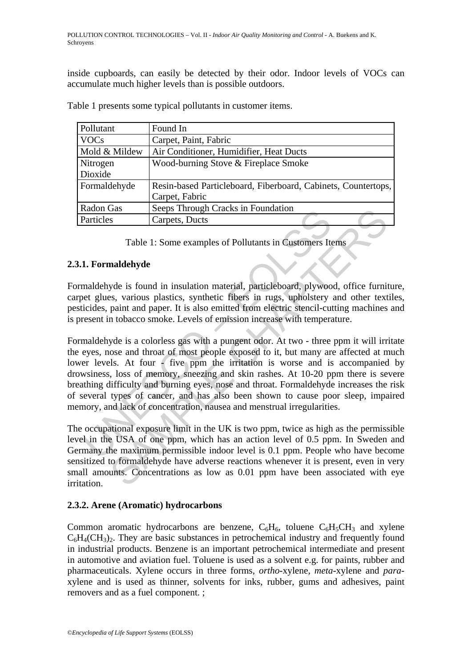inside cupboards, can easily be detected by their odor. Indoor levels of VOCs can accumulate much higher levels than is possible outdoors.

| Pollutant     | Found In                                                      |
|---------------|---------------------------------------------------------------|
| <b>VOCs</b>   | Carpet, Paint, Fabric                                         |
| Mold & Mildew | Air Conditioner, Humidifier, Heat Ducts                       |
| Nitrogen      | Wood-burning Stove & Fireplace Smoke                          |
| Dioxide       |                                                               |
| Formaldehyde  | Resin-based Particleboard, Fiberboard, Cabinets, Countertops, |
|               | Carpet, Fabric                                                |
| Radon Gas     | Seeps Through Cracks in Foundation                            |
| Particles     | Carpets, Ducts                                                |

Table 1 presents some typical pollutants in customer items.

Table 1: Some examples of Pollutants in Customers Items

### **2.3.1. Formaldehyde**

Formaldehyde is found in insulation material, particleboard, plywood, office furniture, carpet glues, various plastics, synthetic fibers in rugs, upholstery and other textiles, pesticides, paint and paper. It is also emitted from electric stencil-cutting machines and is present in tobacco smoke. Levels of emission increase with temperature.

Particles Carpets, Ducts<br>
Table 1: Some examples of Pollutants in Customers It<br>
1. Formaldehyde<br>
maldehyde is found in insulation material, particleboard, plywoo<br>
eet glues, various plastics, synthetic fibers in rugs, upho Solution Carriers In Foundation<br>
Solution Solution Carriers Incomensial Carriers Carriers Tems<br>
and dehyde<br>
Solution in insulation material, particleboard, plywood, office furning<br>
maint and paper. It is also emitted from Formaldehyde is a colorless gas with a pungent odor. At two - three ppm it will irritate the eyes, nose and throat of most people exposed to it, but many are affected at much lower levels. At four - five ppm the irritation is worse and is accompanied by drowsiness, loss of memory, sneezing and skin rashes. At 10-20 ppm there is severe breathing difficulty and burning eyes, nose and throat. Formaldehyde increases the risk of several types of cancer, and has also been shown to cause poor sleep, impaired memory, and lack of concentration, nausea and menstrual irregularities.

The occupational exposure limit in the UK is two ppm, twice as high as the permissible level in the USA of one ppm, which has an action level of 0.5 ppm. In Sweden and Germany the maximum permissible indoor level is 0.1 ppm. People who have become sensitized to formaldehyde have adverse reactions whenever it is present, even in very small amounts. Concentrations as low as 0.01 ppm have been associated with eye irritation.

# **2.3.2. Arene (Aromatic) hydrocarbons**

Common aromatic hydrocarbons are benzene,  $C_6H_6$ , toluene  $C_6H_5CH_3$  and xylene  $C_6H_4(CH_3)$ . They are basic substances in petrochemical industry and frequently found in industrial products. Benzene is an important petrochemical intermediate and present in automotive and aviation fuel. Toluene is used as a solvent e.g. for paints, rubber and pharmaceuticals. Xylene occurs in three forms, *ortho-*xylene, *meta-*xylene and *para*xylene and is used as thinner, solvents for inks, rubber, gums and adhesives, paint removers and as a fuel component. ;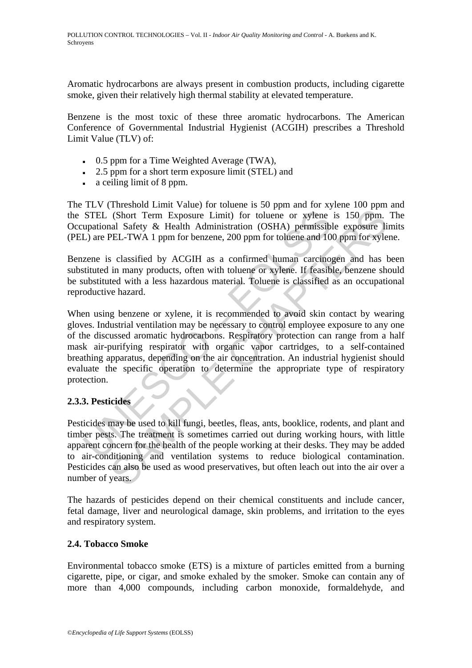Aromatic hydrocarbons are always present in combustion products, including cigarette smoke, given their relatively high thermal stability at elevated temperature.

Benzene is the most toxic of these three aromatic hydrocarbons. The American Conference of Governmental Industrial Hygienist (ACGIH) prescribes a Threshold Limit Value (TLV) of:

- 0.5 ppm for a Time Weighted Average (TWA),
- $\overline{2.5}$  ppm for a short term exposure limit (STEL) and
- a ceiling limit of 8 ppm.

The TLV (Threshold Limit Value) for toluene is 50 ppm and for xylene 100 ppm and the STEL (Short Term Exposure Limit) for toluene or xylene is 150 ppm. The Occupational Safety & Health Administration (OSHA) permissible exposure limits (PEL) are PEL-TWA 1 ppm for benzene, 200 ppm for toluene and 100 ppm for xylene.

Benzene is classified by ACGIH as a confirmed human carcinogen and has been substituted in many products, often with toluene or xylene. If feasible, benzene should be substituted with a less hazardous material. Toluene is classified as an occupational reproductive hazard.

STEL (Short Term Exposure Limit) for toluene or sylene upational Safety & Health Administration (OSHA) permissible.<br>
L) are PEL-TWA 1 ppm for benzene, 200 ppm for toluene and 10 zene is classified by ACGIH as a confirmed h (Short Term Exposure Limit) for toluene or xylene is 150 ppm.<br>
all Safety & Health Administration (OSHA) permissible exposure limital Safety & Health Administration (OSHA) permissible exposure limital Safety & Health Admin When using benzene or xylene, it is recommended to avoid skin contact by wearing gloves. Industrial ventilation may be necessary to control employee exposure to any one of the discussed aromatic hydrocarbons. Respiratory protection can range from a half mask air-purifying respirator with organic vapor cartridges, to a self-contained breathing apparatus, depending on the air concentration. An industrial hygienist should evaluate the specific operation to determine the appropriate type of respiratory protection.

# **2.3.3. Pesticides**

Pesticides may be used to kill fungi, beetles, fleas, ants, booklice, rodents, and plant and timber pests. The treatment is sometimes carried out during working hours, with little apparent concern for the health of the people working at their desks. They may be added to air-conditioning and ventilation systems to reduce biological contamination. Pesticides can also be used as wood preservatives, but often leach out into the air over a number of years.

The hazards of pesticides depend on their chemical constituents and include cancer, fetal damage, liver and neurological damage, skin problems, and irritation to the eyes and respiratory system.

### **2.4. Tobacco Smoke**

Environmental tobacco smoke (ETS) is a mixture of particles emitted from a burning cigarette, pipe, or cigar, and smoke exhaled by the smoker. Smoke can contain any of more than 4,000 compounds, including carbon monoxide, formaldehyde, and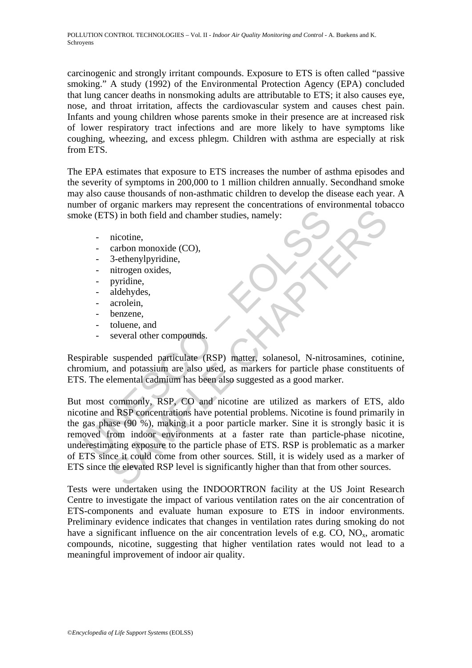carcinogenic and strongly irritant compounds. Exposure to ETS is often called "passive smoking." A study (1992) of the Environmental Protection Agency (EPA) concluded that lung cancer deaths in nonsmoking adults are attributable to ETS; it also causes eye, nose, and throat irritation, affects the cardiovascular system and causes chest pain. Infants and young children whose parents smoke in their presence are at increased risk of lower respiratory tract infections and are more likely to have symptoms like coughing, wheezing, and excess phlegm. Children with asthma are especially at risk from ETS.

The EPA estimates that exposure to ETS increases the number of asthma episodes and the severity of symptoms in 200,000 to 1 million children annually. Secondhand smoke may also cause thousands of non-asthmatic children to develop the disease each year. A number of organic markers may represent the concentrations of environmental tobacco smoke (ETS) in both field and chamber studies, namely:

- nicotine,
- carbon monoxide (CO),
- 3-ethenylpyridine,
- nitrogen oxides,
- pyridine,
- aldehydes,
- acrolein.
- benzene,
- toluene, and
- several other compounds.

Respirable suspended particulate (RSP) matter, solanesol, N-nitrosamines, cotinine, chromium, and potassium are also used, as markers for particle phase constituents of ETS. The elemental cadmium has been also suggested as a good marker.

ke (ETS) in both field and chamber studies, namely:<br>
actoon monoxide (CO),<br>
3-ethenylpyridine,<br>
- aidenylogicalise,<br>
- pyridine,<br>
- aidehydes,<br>
- pyridine,<br>
- aldehydes,<br>
- coluene, and<br>
- several other compounds.<br>
Finalle S) in both field and chamber studies, namely:<br>
S) in both field and chamber studies, namely:<br>
actron monoxide (CO),<br>
3-ethenylpyridine,<br>
aidehydes,<br>
archeim,<br>
adehydes,<br>
archeim,<br>
adehydes,<br>
archeim,<br>
benzene,<br>
suspended p But most commonly, RSP, CO and nicotine are utilized as markers of ETS, aldo nicotine and RSP concentrations have potential problems. Nicotine is found primarily in the gas phase (90 %), making it a poor particle marker. Sine it is strongly basic it is removed from indoor environments at a faster rate than particle-phase nicotine, underestimating exposure to the particle phase of ETS. RSP is problematic as a marker of ETS since it could come from other sources. Still, it is widely used as a marker of ETS since the elevated RSP level is significantly higher than that from other sources.

Tests were undertaken using the INDOORTRON facility at the US Joint Research Centre to investigate the impact of various ventilation rates on the air concentration of ETS-components and evaluate human exposure to ETS in indoor environments. Preliminary evidence indicates that changes in ventilation rates during smoking do not have a significant influence on the air concentration levels of e.g.  $CO$ ,  $NO<sub>x</sub>$ , aromatic compounds, nicotine, suggesting that higher ventilation rates would not lead to a meaningful improvement of indoor air quality.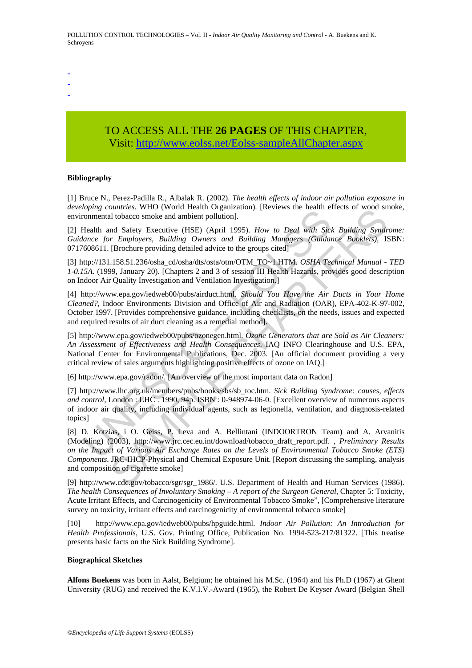- -
- -
- TO ACCESS ALL THE **26 PAGES** OF THIS CHAPTER, Visi[t: http://www.eolss.net/Eolss-sampleAllChapter.aspx](https://www.eolss.net/ebooklib/sc_cart.aspx?File=E4-14-02-07)

#### **Bibliography**

[1] Bruce N., Perez-Padilla R., Albalak R. (2002). *The health effects of indoor air pollution exposure in developing countries*. WHO (World Health Organization). [Reviews the health effects of wood smoke, environmental tobacco smoke and ambient pollution].

[2] Health and Safety Executive (HSE) (April 1995). *How to Deal with Sick Building Syndrome: Guidance for Employers, Building Owners and Building Managers (Guidance Booklets)*, ISBN: 0717608611. [Brochure providing detailed advice to the groups cited]

[3] http://131.158.51.236/osha\_cd/osha/dts/osta/otm/OTM\_TO~1.HTM. *OSHA Technical Manual - TED 1-0.15A*. (1999, January 20). [Chapters 2 and 3 of session III Health Hazards, provides good description on Indoor Air Quality Investigation and Ventilation Investigation.]

browners. wird (worth readuring momental tobacco smoke and ambient pollution).<br>
Health and Safety Executive (HSE) (April 1995). How to Deal with Sitelar<br>
Health and Safety Executive (HSE) (April 1995). How to Deal with Sit [4] http://www.epa.gov/iedweb00/pubs/airduct.html. *Should You Have the Air Ducts in Your Home Cleaned?*, Indoor Environments Division and Office of Air and Radiation (OAR), EPA-402-K-97-002, October 1997. [Provides comprehensive guidance, including checklists, on the needs, issues and expected and required results of air duct cleaning as a remedial method].

[5] http://www.epa.gov/iedweb00/pubs/ozonegen.html. *Ozone Generators that are Sold as Air Cleaners: An Assessment of Effectiveness and Health Consequences*, IAQ INFO Clearinghouse and U.S. EPA, National Center for Environmental Publications, Dec. 2003. [An official document providing a very critical review of sales arguments highlighting positive effects of ozone on IAQ.]

[6] http://www.epa.gov/radon/. [An overview of the most important data on Radon]

[7] http://www.lhc.org.uk/members/pubs/books/sbs/sb\_toc.htm. *Sick Building Syndrome: causes, effects and control*, London : LHC . 1990, 94p. ISBN : 0-948974-06-0. [Excellent overview of numerous aspects of indoor air quality, including individual agents, such as legionella, ventilation, and diagnosis-related topics]

*Dualries.* Who Two Headin Organization): [reviews the firal and the back of wood sholaries. Who Two Headin Organization): [reviews the firal and Bafety Executive (HSE) (April 1995). *How to Deal with Sick Building Syndr* [8] D. Kotzias, i O. Geiss, P. Leva and A. Bellintani (INDOORTRON Team) and A. Arvanitis (Modeling) (2003), http://www.jrc.cec.eu.int/download/tobacco\_draft\_report.pdf. , *Preliminary Results on the Impact of Various Air Exchange Rates on the Levels of Environmental Tobacco Smoke (ETS) Components*. JRC-IHCP-Physical and Chemical Exposure Unit. [Report discussing the sampling, analysis and composition of cigarette smoke]

[9] http://www.cdc.gov/tobacco/sgr/sgr\_1986/. U.S. Department of Health and Human Services (1986). *The health Consequences of Involuntary Smoking – A report of the Surgeon General*, Chapter 5: Toxicity, Acute Irritant Effects, and Carcinogenicity of Environmental Tobacco Smoke", [Comprehensive literature survey on toxicity, irritant effects and carcinogenicity of environmental tobacco smoke]

[10] http://www.epa.gov/iedweb00/pubs/hpguide.html. *Indoor Air Pollution: An Introduction for Health Professionals*, U.S. Gov. Printing Office, Publication No. 1994-523-217/81322. [This treatise presents basic facts on the Sick Building Syndrome].

#### **Biographical Sketches**

**Alfons Buekens** was born in Aalst, Belgium; he obtained his M.Sc. (1964) and his Ph.D (1967) at Ghent University (RUG) and received the K.V.I.V.-Award (1965), the Robert De Keyser Award (Belgian Shell